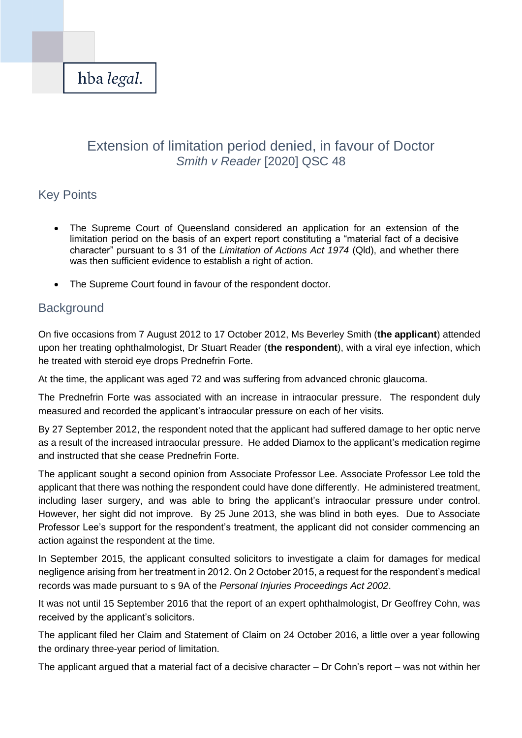

# Extension of limitation period denied, in favour of Doctor *Smith v Reader* [2020] QSC 48

## Key Points

- The Supreme Court of Queensland considered an application for an extension of the limitation period on the basis of an expert report constituting a "material fact of a decisive character" pursuant to s 31 of the *Limitation of Actions Act 1974* (Qld), and whether there was then sufficient evidence to establish a right of action.
- The Supreme Court found in favour of the respondent doctor.

### **Background**

On five occasions from 7 August 2012 to 17 October 2012, Ms Beverley Smith (**the applicant**) attended upon her treating ophthalmologist, Dr Stuart Reader (**the respondent**), with a viral eye infection, which he treated with steroid eye drops Prednefrin Forte.

At the time, the applicant was aged 72 and was suffering from advanced chronic glaucoma.

The Prednefrin Forte was associated with an increase in intraocular pressure. The respondent duly measured and recorded the applicant's intraocular pressure on each of her visits.

By 27 September 2012, the respondent noted that the applicant had suffered damage to her optic nerve as a result of the increased intraocular pressure. He added Diamox to the applicant's medication regime and instructed that she cease Prednefrin Forte.

The applicant sought a second opinion from Associate Professor Lee. Associate Professor Lee told the applicant that there was nothing the respondent could have done differently. He administered treatment, including laser surgery, and was able to bring the applicant's intraocular pressure under control. However, her sight did not improve. By 25 June 2013, she was blind in both eyes. Due to Associate Professor Lee's support for the respondent's treatment, the applicant did not consider commencing an action against the respondent at the time.

In September 2015, the applicant consulted solicitors to investigate a claim for damages for medical negligence arising from her treatment in 2012. On 2 October 2015, a request for the respondent's medical records was made pursuant to s 9A of the *Personal Injuries Proceedings Act 2002*.

It was not until 15 September 2016 that the report of an expert ophthalmologist, Dr Geoffrey Cohn, was received by the applicant's solicitors.

The applicant filed her Claim and Statement of Claim on 24 October 2016, a little over a year following the ordinary three-year period of limitation.

The applicant argued that a material fact of a decisive character – Dr Cohn's report – was not within her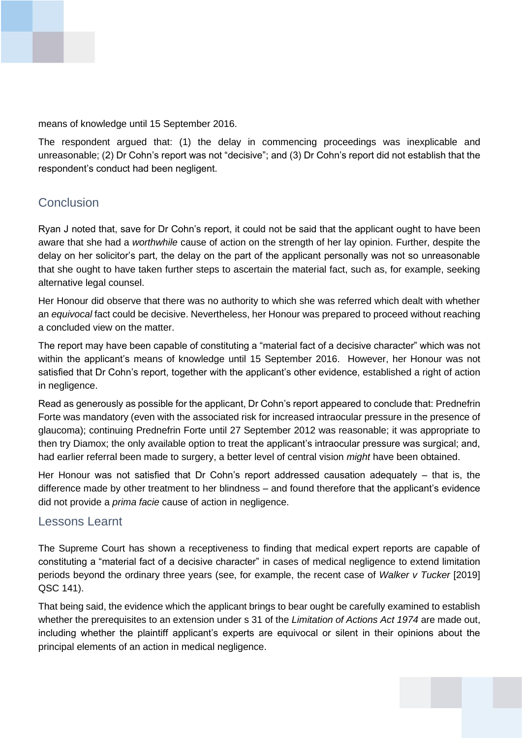

means of knowledge until 15 September 2016.

The respondent argued that: (1) the delay in commencing proceedings was inexplicable and unreasonable; (2) Dr Cohn's report was not "decisive"; and (3) Dr Cohn's report did not establish that the respondent's conduct had been negligent.

### **Conclusion**

Ryan J noted that, save for Dr Cohn's report, it could not be said that the applicant ought to have been aware that she had a *worthwhile* cause of action on the strength of her lay opinion. Further, despite the delay on her solicitor's part, the delay on the part of the applicant personally was not so unreasonable that she ought to have taken further steps to ascertain the material fact, such as, for example, seeking alternative legal counsel.

Her Honour did observe that there was no authority to which she was referred which dealt with whether an *equivocal* fact could be decisive. Nevertheless, her Honour was prepared to proceed without reaching a concluded view on the matter.

The report may have been capable of constituting a "material fact of a decisive character" which was not within the applicant's means of knowledge until 15 September 2016. However, her Honour was not satisfied that Dr Cohn's report, together with the applicant's other evidence, established a right of action in negligence.

Read as generously as possible for the applicant, Dr Cohn's report appeared to conclude that: Prednefrin Forte was mandatory (even with the associated risk for increased intraocular pressure in the presence of glaucoma); continuing Prednefrin Forte until 27 September 2012 was reasonable; it was appropriate to then try Diamox; the only available option to treat the applicant's intraocular pressure was surgical; and, had earlier referral been made to surgery, a better level of central vision *might* have been obtained.

Her Honour was not satisfied that Dr Cohn's report addressed causation adequately – that is, the difference made by other treatment to her blindness – and found therefore that the applicant's evidence did not provide a *prima facie* cause of action in negligence.

#### Lessons Learnt

The Supreme Court has shown a receptiveness to finding that medical expert reports are capable of constituting a "material fact of a decisive character" in cases of medical negligence to extend limitation periods beyond the ordinary three years (see, for example, the recent case of *Walker v Tucker* [2019] QSC 141).

That being said, the evidence which the applicant brings to bear ought be carefully examined to establish whether the prerequisites to an extension under s 31 of the *Limitation of Actions Act 1974* are made out, including whether the plaintiff applicant's experts are equivocal or silent in their opinions about the principal elements of an action in medical negligence.